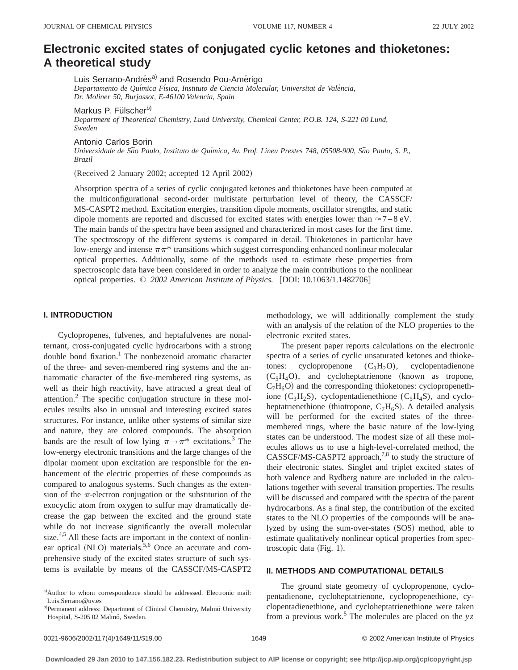# **Electronic excited states of conjugated cyclic ketones and thioketones: A theoretical study**

Luis Serrano-Andrés<sup>a)</sup> and Rosendo Pou-Amérigo

*Departamento de Quı´mica Fı´sica, Instituto de Ciencia Molecular, Universitat de Vale`ncia, Dr. Moliner 50, Burjassot, E-46100 Valencia, Spain*

Markus P. Fülscherb)

*Department of Theoretical Chemistry, Lund University, Chemical Center, P.O.B. 124, S-221 00 Lund, Sweden*

Antonio Carlos Borin

*Universidade de Sa˜o Paulo, Instituto de Quı´mica, Av. Prof. Lineu Prestes 748, 05508-900, Sa˜o Paulo, S. P., Brazil*

(Received 2 January 2002; accepted 12 April 2002)

Absorption spectra of a series of cyclic conjugated ketones and thioketones have been computed at the multiconfigurational second-order multistate perturbation level of theory, the CASSCF/ MS-CASPT2 method. Excitation energies, transition dipole moments, oscillator strengths, and static dipole moments are reported and discussed for excited states with energies lower than  $\approx$  7 – 8 eV. The main bands of the spectra have been assigned and characterized in most cases for the first time. The spectroscopy of the different systems is compared in detail. Thioketones in particular have low-energy and intense  $\pi\pi^*$  transitions which suggest corresponding enhanced nonlinear molecular optical properties. Additionally, some of the methods used to estimate these properties from spectroscopic data have been considered in order to analyze the main contributions to the nonlinear optical properties. © 2002 American Institute of Physics. [DOI: 10.1063/1.1482706]

### **I. INTRODUCTION**

Cyclopropenes, fulvenes, and heptafulvenes are nonalternant, cross-conjugated cyclic hydrocarbons with a strong double bond fixation.<sup>1</sup> The nonbezenoid aromatic character of the three- and seven-membered ring systems and the antiaromatic character of the five-membered ring systems, as well as their high reactivity, have attracted a great deal of attention.2 The specific conjugation structure in these molecules results also in unusual and interesting excited states structures. For instance, unlike other systems of similar size and nature, they are colored compounds. The absorption bands are the result of low lying  $\pi \rightarrow \pi^*$  excitations.<sup>3</sup> The low-energy electronic transitions and the large changes of the dipolar moment upon excitation are responsible for the enhancement of the electric properties of these compounds as compared to analogous systems. Such changes as the extension of the  $\pi$ -electron conjugation or the substitution of the exocyclic atom from oxygen to sulfur may dramatically decrease the gap between the excited and the ground state while do not increase significantly the overall molecular size.<sup>4,5</sup> All these facts are important in the context of nonlinear optical  $(NLO)$  materials.<sup>5,6</sup> Once an accurate and comprehensive study of the excited states structure of such systems is available by means of the CASSCF/MS-CASPT2

methodology, we will additionally complement the study with an analysis of the relation of the NLO properties to the electronic excited states.

The present paper reports calculations on the electronic spectra of a series of cyclic unsaturated ketones and thioketones: cyclopropenone  $(C_3H_2O)$ , cyclopentadienone  $(C_5H_4O)$ , and cycloheptatrienone (known as tropone,  $C_7H_6O$ ) and the corresponding thioketones: cyclopropenethione (C<sub>3</sub>H<sub>2</sub>S), cyclopentadienethione (C<sub>5</sub>H<sub>4</sub>S), and cycloheptatrienethione (thiotropone,  $C_7H_6S$ ). A detailed analysis will be performed for the excited states of the threemembered rings, where the basic nature of the low-lying states can be understood. The modest size of all these molecules allows us to use a high-level-correlated method, the  $CASSCF/MS-CASPT2$  approach,<sup>7,8</sup> to study the structure of their electronic states. Singlet and triplet excited states of both valence and Rydberg nature are included in the calculations together with several transition properties. The results will be discussed and compared with the spectra of the parent hydrocarbons. As a final step, the contribution of the excited states to the NLO properties of the compounds will be analyzed by using the sum-over-states (SOS) method, able to estimate qualitatively nonlinear optical properties from spectroscopic data  $(Fig. 1)$ .

### **II. METHODS AND COMPUTATIONAL DETAILS**

The ground state geometry of cyclopropenone, cyclopentadienone, cycloheptatrienone, cyclopropenethione, cyclopentadienethione, and cycloheptatrienethione were taken from a previous work.<sup>5</sup> The molecules are placed on the  $yz$ 

a)Author to whom correspondence should be addressed. Electronic mail: Luis.Serrano@uv.es

b)Permanent address: Department of Clinical Chemistry, Malmö University Hospital, S-205 02 Malmö, Sweden.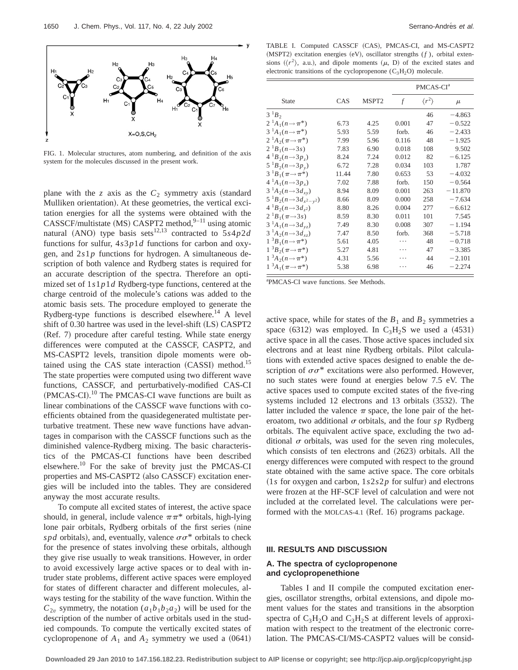

FIG. 1. Molecular structures, atom numbering, and definition of the axis system for the molecules discussed in the present work.

plane with the *z* axis as the  $C_2$  symmetry axis (standard Mulliken orientation). At these geometries, the vertical excitation energies for all the systems were obtained with the  $CASSCF/multistate (MS) CASPT2 method, <sup>9–11</sup> using atomic$ natural (ANO) type basis sets<sup>12,13</sup> contracted to  $5s4p2d$ functions for sulfur, 4*s*3*p*1*d* functions for carbon and oxygen, and 2*s*1*p* functions for hydrogen. A simultaneous description of both valence and Rydberg states is required for an accurate description of the spectra. Therefore an optimized set of 1*s*1*p*1*d* Rydberg-type functions, centered at the charge centroid of the molecule's cations was added to the atomic basis sets. The procedure employed to generate the Rydberg-type functions is described elsewhere.<sup>14</sup> A level shift of 0.30 hartree was used in the level-shift (LS) CASPT2 (Ref. 7) procedure after careful testing. While state energy differences were computed at the CASSCF, CASPT2, and MS-CASPT2 levels, transition dipole moments were obtained using the CAS state interaction  $(CASSI)$  method.<sup>15</sup> The state properties were computed using two different wave functions, CASSCF, and perturbatively-modified CAS-CI  $(PMCAS-CI).$ <sup>10</sup> The PMCAS-CI wave functions are built as linear combinations of the CASSCF wave functions with coefficients obtained from the quasidegenerated multistate perturbative treatment. These new wave functions have advantages in comparison with the CASSCF functions such as the diminished valence-Rydberg mixing. The basic characteristics of the PMCAS-CI functions have been described elsewhere.<sup>10</sup> For the sake of brevity just the PMCAS-CI properties and MS-CASPT2 (also CASSCF) excitation energies will be included into the tables. They are considered anyway the most accurate results.

To compute all excited states of interest, the active space should, in general, include valence  $\pi \pi^*$  orbitals, high-lying lone pair orbitals, Rydberg orbitals of the first series (nine *spd* orbitals), and, eventually, valence  $\sigma \sigma^*$  orbitals to check for the presence of states involving these orbitals, although they give rise usually to weak transitions. However, in order to avoid excessively large active spaces or to deal with intruder state problems, different active spaces were employed for states of different character and different molecules, always testing for the stability of the wave function. Within the  $C_{2v}$  symmetry, the notation  $(a_1b_1b_2a_2)$  will be used for the description of the number of active orbitals used in the studied compounds. To compute the vertically excited states of cyclopropenone of  $A_1$  and  $A_2$  symmetry we used a  $(0641)$ 

TABLE I. Computed CASSCF (CAS), PMCAS-CI, and MS-CASPT2 (MSPT2) excitation energies (eV), oscillator strengths (*f*), orbital extensions ( $\langle r^2 \rangle$ , a.u.), and dipole moments ( $\mu$ , D) of the excited states and electronic transitions of the cyclopropenone  $(C_3H_2O)$  molecule.

|                                             |       |                   | PMCAS-CI <sup>a</sup> |                       |           |  |
|---------------------------------------------|-------|-------------------|-----------------------|-----------------------|-----------|--|
| <b>State</b>                                | CAS   | MSPT <sub>2</sub> | f                     | $\langle r^2 \rangle$ | $\mu$     |  |
| $3^1B_2$                                    |       |                   |                       | 46                    | $-4.863$  |  |
| 2 <sup>1</sup> $A_1(n \rightarrow \pi^*)$   | 6.73  | 4.25              | 0.001                 | 47                    | $-0.522$  |  |
| $3^{-1}A_1(n \rightarrow \pi^*)$            | 5.93  | 5.59              | forb.                 | 46                    | $-2.433$  |  |
| $2^1A_2(\pi \rightarrow \pi^*)$             | 7.99  | 5.96              | 0.116                 | 48                    | $-1.925$  |  |
| $2^1B_1(n\rightarrow 3s)$                   | 7.83  | 6.90              | 0.018                 | 108                   | 9.502     |  |
| $4^{1}B_{2}(n\rightarrow 3p_{7})$           | 8.24  | 7.24              | 0.012                 | 82                    | $-6.125$  |  |
| $5^{1}B_{2}(n \rightarrow 3p_{v})$          | 6.72  | 7.28              | 0.034                 | 103                   | 1.787     |  |
| 3 <sup>1</sup> $B_1(\pi \rightarrow \pi^*)$ | 11.44 | 7.80              | 0.653                 | 53                    | $-4.032$  |  |
| $4^{1}A_{1}(n \rightarrow 3p_{r})$          | 7.02  | 7.88              | forb.                 | 150                   | $-0.564$  |  |
| $3^{-1}A_2(n-3d_{xy})$                      | 8.94  | 8.09              | 0.001                 | 263                   | $-11.870$ |  |
| $5^{1}B_{2}(n-3d_{x^{2}-y^{2}})$            | 8.66  | 8.09              | 0.000                 | 258                   | $-7.634$  |  |
| $4^{1}B_{2}(n-3d_{2})$                      | 8.80  | 8.26              | 0.004                 | 277                   | $-6.612$  |  |
| $2^1B_1(\pi \rightarrow 3s)$                | 8.59  | 8.30              | 0.011                 | 101                   | 7.545     |  |
| $3^{-1}A_1(n \rightarrow 3d_{vz})$          | 7.49  | 8.30              | 0.008                 | 307                   | $-1.194$  |  |
| $3^{1}A_{2}(n-3d_{xz})$                     | 7.47  | 8.50              | forb.                 | 368                   | $-5.718$  |  |
| $1^{-3}B_1(n \to \pi^*)$                    | 5.61  | 4.05              | .                     | 48                    | $-0.718$  |  |
| $1^3B_2(\pi \rightarrow \pi^*)$             | 5.27  | 4.81              |                       | 47                    | $-3.385$  |  |
| $1 \, {}^3A_2(n \rightarrow \pi^*)$         | 4.31  | 5.56              |                       | 44                    | $-2.101$  |  |
| $1 \, {}^3A_1(\pi {\rightarrow} \pi^*)$     | 5.38  | 6.98              |                       | 46                    | $-2.274$  |  |

a PMCAS-CI wave functions. See Methods.

active space, while for states of the  $B_1$  and  $B_2$  symmetries a space  $(6312)$  was employed. In C<sub>3</sub>H<sub>2</sub>S we used a  $(4531)$ active space in all the cases. Those active spaces included six electrons and at least nine Rydberg orbitals. Pilot calculations with extended active spaces designed to enable the description of  $\sigma\sigma^*$  excitations were also performed. However, no such states were found at energies below 7.5 eV. The active spaces used to compute excited states of the five-ring systems included 12 electrons and 13 orbitals  $(3532)$ . The latter included the valence  $\pi$  space, the lone pair of the heteroatom, two additional  $\sigma$  orbitals, and the four *sp* Rydberg orbitals. The equivalent active space, excluding the two additional  $\sigma$  orbitals, was used for the seven ring molecules, which consists of ten electrons and  $(2623)$  orbitals. All the energy differences were computed with respect to the ground state obtained with the same active space. The core orbitals  $(1s$  for oxygen and carbon,  $1s2s2p$  for sulfur) and electrons were frozen at the HF-SCF level of calculation and were not included at the correlated level. The calculations were performed with the MOLCAS-4.1 (Ref. 16) programs package.

# **III. RESULTS AND DISCUSSION**

# **A. The spectra of cyclopropenone and cyclopropenethione**

Tables I and II compile the computed excitation energies, oscillator strengths, orbital extensions, and dipole moment values for the states and transitions in the absorption spectra of  $C_3H_2O$  and  $C_3H_2S$  at different levels of approximation with respect to the treatment of the electronic correlation. The PMCAS-CI/MS-CASPT2 values will be consid-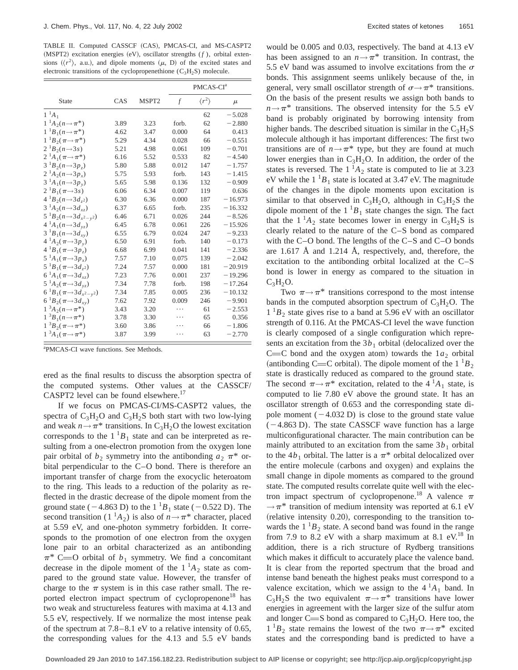TABLE II. Computed CASSCF (CAS), PMCAS-CI, and MS-CASPT2  $(MSPT2)$  excitation energies  $(eV)$ , oscillator strengths  $(f)$ , orbital extensions  $({\langle r^2 \rangle}, a.u.),$  and dipole moments  $(\mu, D)$  of the excited states and electronic transitions of the cyclopropenethione  $(C_3H_2S)$  molecule.

|                                              |      |                   | PMCAS-CI <sup>a</sup> |                       |           |  |
|----------------------------------------------|------|-------------------|-----------------------|-----------------------|-----------|--|
| <b>State</b>                                 | CAS  | MSPT <sub>2</sub> | $\mathcal{f}$         | $\langle r^2 \rangle$ | $\mu$     |  |
| $1^1A_1$                                     |      |                   |                       | 62                    | $-5.028$  |  |
| $1^{-1}A_2(n \rightarrow \pi^*)$             | 3.89 | 3.23              | forb.                 | 62                    | $-2.880$  |  |
| $1^{-1}B_1(n \to \pi^*)$                     | 4.62 | 3.47              | 0.000                 | 64                    | 0.413     |  |
| $1^{-1}B_2(\pi \rightarrow \pi^*)$           | 5.29 | 4.34              | 0.028                 | 66                    | $-0.551$  |  |
| $2^1B_2(n\rightarrow 3s)$                    | 5.21 | 4.98              | 0.061                 | 109                   | $-0.701$  |  |
| $2^{-1}A_1(\pi \rightarrow \pi^*)$           | 6.16 | 5.52              | 0.533                 | 82                    | $-4.540$  |  |
| $3^1B_2(n-3p)$                               | 5.80 | 5.88              | 0.012                 | 147                   | $-1.757$  |  |
| $2^{1}A_{2}(n\rightarrow 3p_{x})$            | 5.75 | 5.93              | forb.                 | 143                   | $-1.415$  |  |
| $3^{1}A_{1}(n \rightarrow 3p_{y})$           | 5.65 | 5.98              | 0.136                 | 132                   | $-0.909$  |  |
| $2^{1}B_{1}(\pi \rightarrow 3s)$             | 6.06 | 6.34              | 0.007                 | 119                   | 0.636     |  |
| $4^{1}B_{2}(n-3d_{z^{2}})$                   | 6.30 | 6.36              | 0.000                 | 187                   | $-16.973$ |  |
| $3^{1}A_{2}(n-3d_{xz})$                      | 6.37 | 6.65              | forb.                 | 235                   | $-16.332$ |  |
| $5^{1}B_{2}(n \rightarrow 3d_{x^{2}-y^{2}})$ | 6.46 | 6.71              | 0.026                 | 244                   | $-8.526$  |  |
| $4^{1}A_{1}(n \rightarrow 3d_{yz})$          | 6.45 | 6.78              | 0.061                 | 226                   | $-15.926$ |  |
| $3^{1}B_{1}(n \rightarrow 3d_{xy})$          | 6.55 | 6.79              | 0.024                 | 247                   | $-9.233$  |  |
| $4^{1}A_{2}(\pi \rightarrow 3p_{y})$         | 6.50 | 6.91              | forb.                 | 140                   | $-0.173$  |  |
| $4^{1}B_{1}(\pi \rightarrow 3p_{z})$         | 6.68 | 6.99              | 0.041                 | 141                   | $-2.336$  |  |
| $5^1A_1(\pi \rightarrow 3p_x)$               | 7.57 | 7.10              | 0.075                 | 139                   | $-2.042$  |  |
| $5^{1}B_{1}(\pi \rightarrow 3d_{7}2)$        | 7.24 | 7.57              | 0.000                 | 181                   | $-20.919$ |  |
| $6^{1}A_{1}(\pi \rightarrow 3d_{xz})$        | 7.23 | 7.76              | 0.001                 | 237                   | $-19.296$ |  |
| $5^1A_2(\pi \rightarrow 3d_{yz})$            | 7.34 | 7.78              | forb.                 | 198                   | $-17.264$ |  |
| $6^1B_1(\pi \rightarrow 3d_{x^2-y^2})$       | 7.34 | 7.85              | 0.005                 | 236                   | $-10.132$ |  |
| $6^{1}B_{2}(\pi \rightarrow 3d_{xy})$        | 7.62 | 7.92              | 0.009                 | 246                   | $-9.901$  |  |
| $1\ ^3A_2(n\rightarrow \pi^*)$               | 3.43 | 3.20              | .                     | 61                    | $-2.553$  |  |
| $1^{3}B_{1}(n \rightarrow \pi^{*})$          | 3.78 | 3.30              |                       | 65                    | 0.356     |  |
| $1^{-3}B_2(\pi \rightarrow \pi^*)$           | 3.60 | 3.86              |                       | 66                    | $-1.806$  |  |
| $1^3A_1(\pi \rightarrow \pi^*)$              | 3.87 | 3.99              |                       | 63                    | $-2.770$  |  |

a PMCAS-CI wave functions. See Methods.

ered as the final results to discuss the absorption spectra of the computed systems. Other values at the CASSCF/ CASPT2 level can be found elsewhere.<sup>17</sup>

If we focus on PMCAS-CI/MS-CASPT2 values, the spectra of  $C_3H_2O$  and  $C_3H_2S$  both start with two low-lying and weak  $n \rightarrow \pi^*$  transitions. In C<sub>3</sub>H<sub>2</sub>O the lowest excitation corresponds to the  $1^{1}B_1$  state and can be interpreted as resulting from a one-electron promotion from the oxygen lone pair orbital of  $b_2$  symmetry into the antibonding  $a_2 \pi^*$  orbital perpendicular to the C–O bond. There is therefore an important transfer of charge from the exocyclic heteroatom to the ring. This leads to a reduction of the polarity as reflected in the drastic decrease of the dipole moment from the ground state ( $-4.863$  D) to the 1  $^{1}B_{1}$  state ( $-0.522$  D). The second transition (1<sup>1</sup> $A_2$ ) is also of  $n \rightarrow \pi^*$  character, placed at 5.59 eV, and one-photon symmetry forbidden. It corresponds to the promotion of one electron from the oxygen lone pair to an orbital characterized as an antibonding  $\pi^*$  C=O orbital of  $b_1$  symmetry. We find a concomitant decrease in the dipole moment of the  $1<sup>1</sup>A<sub>2</sub>$  state as compared to the ground state value. However, the transfer of charge to the  $\pi$  system is in this case rather small. The reported electron impact spectrum of cyclopropenone<sup>18</sup> has two weak and structureless features with maxima at 4.13 and 5.5 eV, respectively. If we normalize the most intense peak of the spectrum at 7.8–8.1 eV to a relative intensity of 0.65, the corresponding values for the 4.13 and 5.5 eV bands would be 0.005 and 0.03, respectively. The band at 4.13 eV has been assigned to an  $n \rightarrow \pi^*$  transition. In contrast, the 5.5 eV band was assumed to involve excitations from the  $\sigma$ bonds. This assignment seems unlikely because of the, in general, very small oscillator strength of  $\sigma \rightarrow \pi^*$  transitions. On the basis of the present results we assign both bands to  $n \rightarrow \pi^*$  transitions. The observed intensity for the 5.5 eV band is probably originated by borrowing intensity from higher bands. The described situation is similar in the  $C_3H_2S$ molecule although it has important differences: The first two transitions are of  $n \rightarrow \pi^*$  type, but they are found at much lower energies than in  $C_3H_2O$ . In addition, the order of the states is reversed. The  $1^1A_2$  state is computed to lie at 3.23 eV while the  $1^1B_1$  state is located at 3.47 eV. The magnitude of the changes in the dipole moments upon excitation is similar to that observed in  $C_3H_2O$ , although in  $C_3H_2S$  the dipole moment of the  $1^1B_1$  state changes the sign. The fact that the  $1^1A_2$  state becomes lower in energy in  $C_3H_2S$  is clearly related to the nature of the C–S bond as compared with the C–O bond. The lengths of the C–S and C–O bonds are 1.617 Å and 1.214 Å, respectively, and, therefore, the excitation to the antibonding orbital localized at the C–S bond is lower in energy as compared to the situation in  $C_3H_2O.$ 

Two  $\pi \rightarrow \pi^*$  transitions correspond to the most intense bands in the computed absorption spectrum of  $C_3H_2O$ . The  $1^{1}B_2$  state gives rise to a band at 5.96 eV with an oscillator strength of 0.116. At the PMCAS-CI level the wave function is clearly composed of a single configuration which represents an excitation from the  $3b_1$  orbital (delocalized over the C=C bond and the oxygen atom) towards the  $1a_2$  orbital (antibonding C=C orbital). The dipole moment of the  $1 \text{ }^1B_2$ state is drastically reduced as compared to the ground state. The second  $\pi \rightarrow \pi^*$  excitation, related to the 4 <sup>1</sup>A<sub>1</sub> state, is computed to lie 7.80 eV above the ground state. It has an oscillator strength of 0.653 and the corresponding state dipole moment  $(-4.032 \text{ D})$  is close to the ground state value  $(-4.863$  D). The state CASSCF wave function has a large multiconfigurational character. The main contribution can be mainly attributed to an excitation from the same  $3b<sub>1</sub>$  orbital to the  $4b_1$  orbital. The latter is a  $\pi^*$  orbital delocalized over the entire molecule (carbons and oxygen) and explains the small change in dipole moments as compared to the ground state. The computed results correlate quite well with the electron impact spectrum of cyclopropenone.<sup>18</sup> A valence  $\pi$  $\rightarrow \pi^*$  transition of medium intensity was reported at 6.1 eV  $r$ relative intensity 0.20), corresponding to the transition towards the  $1^1B_2$  state. A second band was found in the range from 7.9 to 8.2 eV with a sharp maximum at 8.1 eV.<sup>18</sup> In addition, there is a rich structure of Rydberg transitions which makes it difficult to accurately place the valence band. It is clear from the reported spectrum that the broad and intense band beneath the highest peaks must correspond to a valence excitation, which we assign to the  $4<sup>1</sup>A<sub>1</sub>$  band. In C<sub>3</sub>H<sub>2</sub>S the two equivalent  $\pi \rightarrow \pi^*$  transitions have lower energies in agreement with the larger size of the sulfur atom and longer C=S bond as compared to  $C_3H_2O$ . Here too, the  $1^{1}B_2$  state remains the lowest of the two  $\pi \rightarrow \pi^*$  excited states and the corresponding band is predicted to have a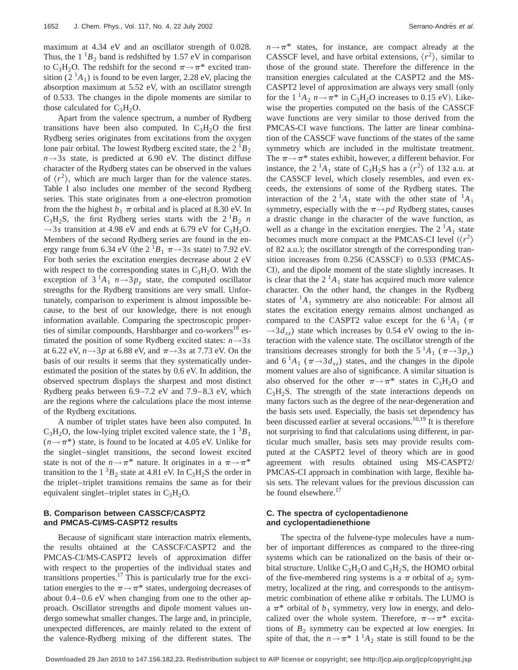maximum at 4.34 eV and an oscillator strength of 0.028. Thus, the  $1^1B_2$  band is redshifted by 1.57 eV in comparison to C<sub>3</sub>H<sub>2</sub>O. The redshift for the second  $\pi \rightarrow \pi^*$  excited transition  $(2^1A_1)$  is found to be even larger, 2.28 eV, placing the absorption maximum at 5.52 eV, with an oscillator strength of 0.533. The changes in the dipole moments are similar to those calculated for  $C_3H_2O$ .

Apart from the valence spectrum, a number of Rydberg transitions have been also computed. In  $C_3H_2O$  the first Rydberg series originates from excitations from the oxygen lone pair orbital. The lowest Rydberg excited state, the  $2^{1}B_2$  $n \rightarrow 3s$  state, is predicted at 6.90 eV. The distinct diffuse character of the Rydberg states can be observed in the values of  $\langle r^2 \rangle$ , which are much larger than for the valence states. Table I also includes one member of the second Rydberg series. This state originates from a one-electron promotion from the the highest  $b_1 \pi$  orbital and is placed at 8.30 eV. In  $C_3H_2S$ , the first Rydberg series starts with the  $2^1B_2$  *n*  $\rightarrow$ 3*s* transition at 4.98 eV and ends at 6.79 eV for C<sub>3</sub>H<sub>2</sub>O. Members of the second Rydberg series are found in the energy range from 6.34 eV (the  $2 \frac{1}{B_1} \pi \rightarrow 3s$  state) to 7.92 eV. For both series the excitation energies decrease about 2 eV with respect to the corresponding states in  $C_3H_2O$ . With the exception of  $3^1A_1$   $n \rightarrow 3p_y$  state, the computed oscillator strengths for the Rydberg transitions are very small. Unfortunately, comparison to experiment is almost impossible because, to the best of our knowledge, there is not enough information available. Comparing the spectroscopic properties of similar compounds, Harshbarger and co-workers<sup>18</sup> estimated the position of some Rydberg excited states:  $n \rightarrow 3s$ at 6.22 eV,  $n \rightarrow 3p$  at 6.88 eV, and  $\pi \rightarrow 3s$  at 7.73 eV. On the basis of our results it seems that they systematically underestimated the position of the states by 0.6 eV. In addition, the observed spectrum displays the sharpest and most distinct Rydberg peaks between 6.9–7.2 eV and 7.9–8.3 eV, which are the regions where the calculations place the most intense of the Rydberg excitations.

A number of triplet states have been also computed. In  $C_3H_2O$ , the low-lying triplet excited valence state, the  $1^3B_1$  $(n \rightarrow \pi^*)$  state, is found to be located at 4.05 eV. Unlike for the singlet–singlet transitions, the second lowest excited state is not of the  $n \rightarrow \pi^*$  nature. It originates in a  $\pi \rightarrow \pi^*$ transition to the  $1^3B_2$  state at 4.81 eV. In C<sub>3</sub>H<sub>2</sub>S the order in the triplet–triplet transitions remains the same as for their equivalent singlet–triplet states in  $C_3H_2O$ .

## **B. Comparison between CASSCF/CASPT2 and PMCAS-CIÕMS-CASPT2 results**

Because of significant state interaction matrix elements, the results obtained at the CASSCF/CASPT2 and the PMCAS-CI/MS-CASPT2 levels of approximation differ with respect to the properties of the individual states and transitions properties.<sup>17</sup> This is particularly true for the excitation energies to the  $\pi \rightarrow \pi^*$  states, undergoing decreases of about 0.4–0.6 eV when changing from one to the other approach. Oscillator strengths and dipole moment values undergo somewhat smaller changes. The large and, in principle, unexpected differences, are mainly related to the extent of the valence-Rydberg mixing of the different states. The  $n \rightarrow \pi^*$  states, for instance, are compact already at the CASSCF level, and have orbital extensions,  $\langle r^2 \rangle$ , similar to those of the ground state. Therefore the difference in the transition energies calculated at the CASPT2 and the MS-CASPT2 level of approximation are always very small (only for the  $1^1A_2$   $n \rightarrow \pi^*$  in C<sub>3</sub>H<sub>2</sub>O increases to 0.15 eV). Likewise the properties computed on the basis of the CASSCF wave functions are very similar to those derived from the PMCAS-CI wave functions. The latter are linear combination of the CASSCF wave functions of the states of the same symmetry which are included in the multistate treatment. The  $\pi \rightarrow \pi^*$  states exhibit, however, a different behavior. For instance, the  $2^1A_1$  state of C<sub>3</sub>H<sub>2</sub>S has a  $\langle r^2 \rangle$  of 132 a.u. at the CASSCF level, which closely resembles, and even exceeds, the extensions of some of the Rydberg states. The interaction of the  $2^1A_1$  state with the other state of  $^1A_1$ symmetry, especially with the  $\pi \rightarrow pd$  Rydberg states, causes a drastic change in the character of the wave function, as well as a change in the excitation energies. The  $2^1A_1$  state becomes much more compact at the PMCAS-CI level  $\langle \langle r^2 \rangle$ of 82 a.u.); the oscillator strength of the corresponding transition increases from  $0.256$  (CASSCF) to  $0.533$  (PMCAS-CI), and the dipole moment of the state slightly increases. It is clear that the  $2<sup>1</sup>A<sub>1</sub>$  state has acquired much more valence character. On the other hand, the changes in the Rydberg states of  ${}^{1}A_1$  symmetry are also noticeable: For almost all states the excitation energy remains almost unchanged as compared to the CASPT2 value except for the  $6^1A_1$  ( $\pi$  $\rightarrow$ 3 $d_{xz}$ ) state which increases by 0.54 eV owing to the interaction with the valence state. The oscillator strength of the transitions decreases strongly for both the 5<sup>1</sup> $A_1$  ( $\pi \rightarrow 3p_x$ ) and  $6^1A_1$  ( $\pi \rightarrow 3d_{xz}$ ) states, and the changes in the dipole moment values are also of significance. A similar situation is also observed for the other  $\pi \rightarrow \pi^*$  states in C<sub>3</sub>H<sub>2</sub>O and  $C_3H_2S$ . The strength of the state interactions depends on many factors such as the degree of the near-degeneration and the basis sets used. Especially, the basis set dependency has been discussed earlier at several occasions.<sup>10,19</sup> It is therefore not surprising to find that calculations using different, in particular much smaller, basis sets may provide results computed at the CASPT2 level of theory which are in good agreement with results obtained using MS-CASPT2/ PMCAS-CI approach in combination with large, flexible basis sets. The relevant values for the previous discussion can be found elsewhere.<sup>17</sup>

# **C. The spectra of cyclopentadienone and cyclopentadienethione**

The spectra of the fulvene-type molecules have a number of important differences as compared to the three-ring systems which can be rationalized on the basis of their orbital structure. Unlike  $C_3H_2O$  and  $C_3H_2S$ , the HOMO orbital of the five-membered ring systems is a  $\pi$  orbital of a<sub>2</sub> symmetry, localized at the ring, and corresponds to the antisymmetric combination of ethene alike  $\pi$  orbitals. The LUMO is a  $\pi^*$  orbital of  $b_1$  symmetry, very low in energy, and delocalized over the whole system. Therefore,  $\pi \rightarrow \pi^*$  excitations of  $B_2$  symmetry can be expected at low energies. In spite of that, the  $n \rightarrow \pi^*$  1<sup>1</sup> $A_2$  state is still found to be the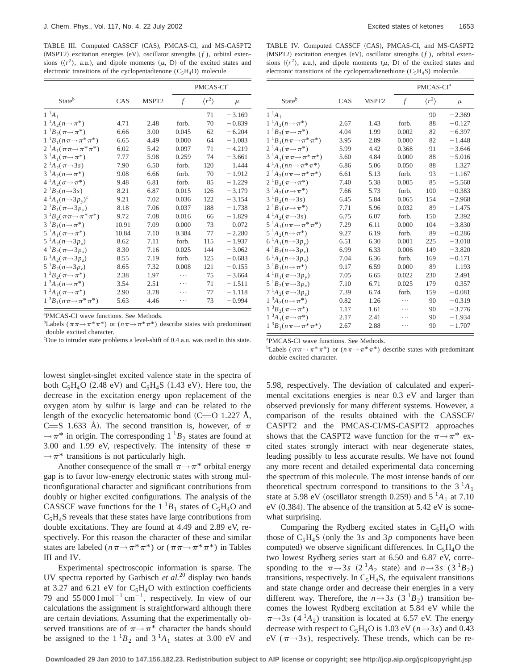TABLE III. Computed CASSCF (CAS), PMCAS-CI, and MS-CASPT2 (MSPT2) excitation energies (eV), oscillator strengths (*f*), orbital extensions  $({\langle r^2 \rangle}, a.u.),$  and dipole moments  $(\mu, D)$  of the excited states and electronic transitions of the cyclopentadienone  $(C_5H_4O)$  molecule.

|                                               |       |                   | PMCAS-CI <sup>a</sup> |                       |          |  |
|-----------------------------------------------|-------|-------------------|-----------------------|-----------------------|----------|--|
| Stateb                                        | CAS   | MSPT <sub>2</sub> | $\mathcal{f}$         | $\langle r^2 \rangle$ | $\mu$    |  |
| $1^1A_1$                                      |       |                   |                       | 71                    | $-3.169$ |  |
| $1^{-1}A_2(n \rightarrow \pi^*)$              | 4.71  | 2.48              | forb.                 | 70                    | $-0.839$ |  |
| $1^{-1}B_2(\pi \rightarrow \pi^*)$            | 6.66  | 3.00              | 0.045                 | 62                    | $-6.204$ |  |
| $1^{-1}B_1(n\pi \rightarrow \pi^* \pi^*)$     | 6.65  | 4.49              | 0.000                 | 64                    | $-1.083$ |  |
| $2^1A_1(\pi\pi \rightarrow \pi^*\pi^*)$       | 6.02  | 5.42              | 0.097                 | 71                    | $-4.219$ |  |
| $3^1A_1(\pi \rightarrow \pi^*)$               | 7.77  | 5.98              | 0.259                 | 74                    | $-3.661$ |  |
| $2 \frac{1}{4} \cdot (\pi \rightarrow 3s)$    | 7.90  | 6.50              | forb.                 | 120                   | 1.444    |  |
| $3^{-1}A_2(n \rightarrow \pi^*)$              | 9.08  | 6.66              | forb.                 | 70                    | $-1.912$ |  |
| $4 \, {}^1A_2(\sigma \rightarrow \pi^*)$      | 9.48  | 6.81              | forb.                 | 85                    | $-1.229$ |  |
| $2^1B_2(n\rightarrow 3s)$                     | 8.21  | 6.87              | 0.015                 | 126                   | $-3.179$ |  |
| $4^{1}A_1(n \rightarrow 3p_v)^c$              | 9.21  | 7.02              | 0.036                 | 122                   | $-3.154$ |  |
| $2^{1}B_{1}(\pi \rightarrow 3p_{y})$          | 8.18  | 7.06              | 0.037                 | 188                   | $-1.738$ |  |
| $3^{-1}B_2(\pi\pi \rightarrow \pi^* \pi^*)$   | 9.72  | 7.08              | 0.016                 | 66                    | $-1.829$ |  |
| $3^{-1}B_1(n \to \pi^*)$                      | 10.91 | 7.09              | 0.000                 | 73                    | 0.072    |  |
| $5^1A_1(\pi \rightarrow \pi^*)$               | 10.84 | 7.10              | 0.384                 | 77                    | $-2.280$ |  |
| $5^1A_2(n \rightarrow 3p_r)$                  | 8.62  | 7.11              | forb.                 | 115                   | $-1.937$ |  |
| $4^1B_2(\pi \rightarrow 3p_r)$                | 8.30  | 7.16              | 0.025                 | 144                   | $-3.062$ |  |
| $6^1A_2(\pi \rightarrow 3p_z)$                | 8.55  | 7.19              | forb.                 | 125                   | $-0.683$ |  |
| $5^1B_2(n \rightarrow 3p_z)$                  | 8.65  | 7.32              | 0.008                 | 121                   | $-0.155$ |  |
| $1^3B_2(\pi \rightarrow \pi^*)$               | 2.38  | 1.97              | .                     | 75                    | $-3.664$ |  |
| $1^3A_2(n \rightarrow \pi^*)$                 | 3.54  | 2.51              |                       | 71                    | $-1.511$ |  |
| $1^3A_1(\pi \rightarrow \pi^*)$               | 2.90  | 3.78              |                       | 77                    | $-1.118$ |  |
| $1^{3}B_{1}(n\pi \rightarrow \pi^{*}\pi^{*})$ | 5.63  | 4.46              |                       | 73                    | $-0.994$ |  |

a PMCAS-CI wave functions. See Methods.

<sup>b</sup>Labels ( $\pi \pi \rightarrow \pi^* \pi^*$ ) or ( $n \pi \rightarrow \pi^* \pi^*$ ) describe states with predominant double excited character.

c Due to intruder state problems a level-shift of 0.4 a.u. was used in this state.

lowest singlet-singlet excited valence state in the spectra of both  $C_5H_4O$  (2.48 eV) and  $C_5H_4S$  (1.43 eV). Here too, the decrease in the excitation energy upon replacement of the oxygen atom by sulfur is large and can be related to the length of the exocyclic heteroatomic bond  $(C=O 1.227$  Å, C=S 1.633 Å). The second transition is, however, of  $\pi$  $\rightarrow \pi^*$  in origin. The corresponding  $1^1B_2$  states are found at 3.00 and 1.99 eV, respectively. The intensity of these  $\pi$  $\rightarrow \pi^*$  transitions is not particularly high.

Another consequence of the small  $\pi \rightarrow \pi^*$  orbital energy gap is to favor low-energy electronic states with strong multiconfigurational character and significant contributions from doubly or higher excited configurations. The analysis of the CASSCF wave functions for the  $1^1B_1$  states of C<sub>5</sub>H<sub>4</sub>O and  $C_5H_4S$  reveals that these states have large contributions from double excitations. They are found at 4.49 and 2.89 eV, respectively. For this reason the character of these and similar states are labeled ( $n \pi \rightarrow \pi^* \pi^*$ ) or ( $\pi \pi \rightarrow \pi^* \pi^*$ ) in Tables III and IV.

Experimental spectroscopic information is sparse. The UV spectra reported by Garbisch *et al.*<sup>20</sup> display two bands at 3.27 and 6.21 eV for  $C_5H_4O$  with extinction coefficients 79 and 55 000  $1 \text{ mol}^{-1} \text{ cm}^{-1}$ , respectively. In view of our calculations the assignment is straightforward although there are certain deviations. Assuming that the experimentally observed transitions are of  $\pi \rightarrow \pi^*$  character the bands should be assigned to the  $1^1B_2$  and  $3^1A_1$  states at 3.00 eV and

TABLE IV. Computed CASSCF (CAS), PMCAS-CI, and MS-CASPT2 (MSPT2) excitation energies (eV), oscillator strengths (*f*), orbital extensions  $({\langle r^2 \rangle}, a.u.),$  and dipole moments  $({\mu}, D)$  of the excited states and electronic transitions of the cyclopentadienethione  $(C_5H_4S)$  molecule.

|                                                      |      |                   |       | PMCAS-CI <sup>a</sup> |          |
|------------------------------------------------------|------|-------------------|-------|-----------------------|----------|
| Stateb                                               | CAS  | MSPT <sub>2</sub> | f     | $\langle r^2 \rangle$ | $\mu$    |
| $1^{-1}A_1$                                          |      |                   |       | 90                    | $-2.369$ |
| $1^{-1}A_2(n \to \pi^*)$                             | 2.67 | 1.43              | forb. | 88                    | $-0.127$ |
| $1^{-1}B_2(\pi \rightarrow \pi^*)$                   | 4.04 | 1.99              | 0.002 | 82                    | $-6.397$ |
| $1^{-1}B_1(n\pi \rightarrow \pi^*\pi^*)$             | 3.95 | 2.89              | 0.000 | 82                    | $-1.448$ |
| 2 ${}^{1}A_{1}(\pi \rightarrow \pi^{*})$             | 5.99 | 4.42              | 0.368 | 91                    | $-3.646$ |
| 3 <sup>1</sup> $A_1(\pi\pi \rightarrow \pi^* \pi^*)$ | 5.60 | 4.84              | 0.000 | 88                    | $-5.016$ |
| $4^{1}A_{1}(nn \rightarrow \pi^{*}\pi^{*})$          | 6.86 | 5.06              | 0.050 | 88                    | 1.327    |
| 2 ${}^1A_2(n\pi \rightarrow \pi^*\pi^*)$             | 6.61 | 5.13              | forb. | 93                    | $-1.167$ |
| $2^{1}B_2(\pi \rightarrow \pi^*)$                    | 7.40 | 5.38              | 0.005 | 85                    | $-5.560$ |
| $3^{-1}A_2(\sigma\rightarrow\pi^*)$                  | 7.66 | 5.73              | forb. | 100                   | $-0.383$ |
| $3^1B_2(n-3s)$                                       | 6.45 | 5.84              | 0.065 | 154                   | $-2.968$ |
| $2^1B_1(\sigma \rightarrow \pi^*)$                   | 7.71 | 5.96              | 0.032 | 89                    | $-1.475$ |
| $4^1A_2(\pi \rightarrow 3s)$                         | 6.75 | 6.07              | forb. | 150                   | 2.392    |
| $5\ ^1A_1(n\pi \rightarrow \pi^*\pi^*)$              | 7.29 | 6.11              | 0.000 | 104                   | $-3.830$ |
| $5^{-1}A_2(n \to \pi^*)$                             | 9.27 | 6.19              | forb. | 89                    | $-0.286$ |
| $6^{1}A_{1}(n \rightarrow 3p_{y})$                   | 6.51 | 6.30              | 0.001 | 225                   | $-3.018$ |
| $4^{1}B_{2}(n\rightarrow 3p_{z})$                    | 6.99 | 6.33              | 0.006 | 149                   | $-3.820$ |
| $6^1A_2(n \rightarrow 3p_x)$                         | 7.04 | 6.36              | forb. | 169                   | $-0.171$ |
| $3^{-1}B_1(n \to \pi^*)$                             | 9.17 | 6.59              | 0.000 | 89                    | 1.193    |
| $4^{1}B_{1}(\pi \rightarrow 3p_{v})$                 | 7.05 | 6.65              | 0.022 | 230                   | 2.491    |
| $5^{-1}B_2(\pi \rightarrow 3p_x)$                    | 7.10 | 6.71              | 0.025 | 179                   | 0.357    |
| $7^{1}A_2(\pi{\rightarrow}3p_z)$                     | 7.39 | 6.74              | forb. | 159                   | $-0.081$ |
| $1 \, {}^3A_2(n \rightarrow \pi^*)$                  | 0.82 | 1.26              | .     | 90                    | $-0.319$ |
| $1^{3}B_{2}(\pi \rightarrow \pi^{*})$                | 1.17 | 1.61              | .     | 90                    | $-3.776$ |
| $1 \, {}^3A_1(\pi {\rightarrow} \pi^*)$              | 2.17 | 2.41              |       | 90                    | $-1.934$ |
| $1^{-3}B_1(n\pi \rightarrow \pi^*\pi^*)$             | 2.67 | 2.88              |       | 90                    | $-1.707$ |

a PMCAS-CI wave functions. See Methods.

<sup>b</sup>Labels ( $\pi \pi \rightarrow \pi^* \pi^*$ ) or  $(n \pi \rightarrow \pi^* \pi^*)$  describe states with predominant double excited character.

5.98, respectively. The deviation of calculated and experimental excitations energies is near 0.3 eV and larger than observed previously for many different systems. However, a comparison of the results obtained with the CASSCF/ CASPT2 and the PMCAS-CI/MS-CASPT2 approaches shows that the CASPT2 wave function for the  $\pi \rightarrow \pi^*$  excited states strongly interact with near degenerate states, leading possibly to less accurate results. We have not found any more recent and detailed experimental data concerning the spectrum of this molecule. The most intense bands of our theoretical spectrum correspond to transitions to the  $3<sup>1</sup>A<sub>1</sub>$ state at 5.98 eV (oscillator strength 0.259) and  $5<sup>1</sup>A<sub>1</sub>$  at 7.10  $eV (0.384)$ . The absence of the transition at 5.42 eV is somewhat surprising.

Comparing the Rydberg excited states in  $C_5H_4O$  with those of  $C_5H_4S$  (only the 3*s* and 3*p* components have been computed) we observe significant differences. In  $C_5H_4O$  the two lowest Rydberg series start at 6.50 and 6.87 eV, corresponding to the  $\pi \rightarrow 3s$  (2<sup>1</sup>*A*<sub>2</sub> state) and  $n \rightarrow 3s$  (3<sup>1</sup>*B*<sub>2</sub>) transitions, respectively. In  $C_5H_4S$ , the equivalent transitions and state change order and decrease their energies in a very different way. Therefore, the  $n \rightarrow 3s$  (3<sup>-1</sup>B<sub>2</sub>) transition becomes the lowest Rydberg excitation at 5.84 eV while the  $\pi \rightarrow 3s$  (4 <sup>1</sup>A<sub>2</sub>) transition is located at 6.57 eV. The energy decrease with respect to  $C_5H_4O$  is 1.03 eV ( $n \rightarrow 3s$ ) and 0.43 eV ( $\pi \rightarrow 3s$ ), respectively. These trends, which can be re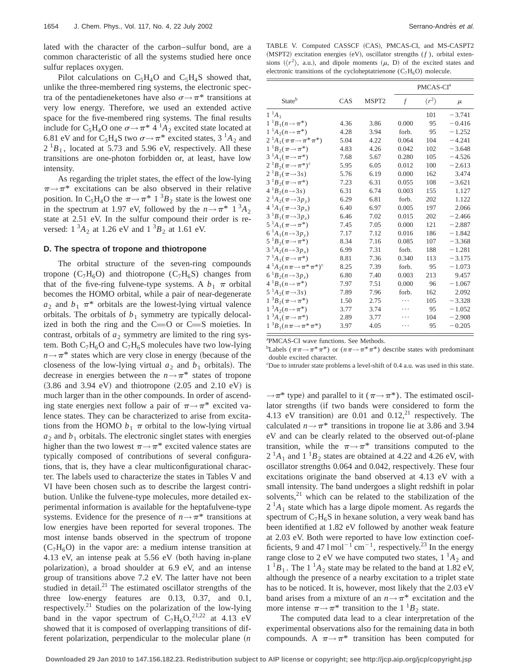lated with the character of the carbon–sulfur bond, are a common characteristic of all the systems studied here once sulfur replaces oxygen.

Pilot calculations on  $C_5H_4O$  and  $C_5H_4S$  showed that, unlike the three-membered ring systems, the electronic spectra of the pentadieneketones have also  $\sigma \rightarrow \pi^*$  transitions at very low energy. Therefore, we used an extended active space for the five-membered ring systems. The final results include for C<sub>5</sub>H<sub>4</sub>O one  $\sigma \rightarrow \pi^*$  4 <sup>1</sup>A<sub>2</sub> excited state located at 6.81 eV and for C<sub>5</sub>H<sub>4</sub>S two  $\sigma \rightarrow \pi^*$  excited states, 3 <sup>1</sup>A<sub>2</sub> and  $2^{1}B_1$ , located at 5.73 and 5.96 eV, respectively. All these transitions are one-photon forbidden or, at least, have low intensity.

As regarding the triplet states, the effect of the low-lying  $\pi \rightarrow \pi^*$  excitations can be also observed in their relative position. In C<sub>5</sub>H<sub>4</sub>O the  $\pi \rightarrow \pi^*$  1<sup>3</sup>B<sub>2</sub> state is the lowest one in the spectrum at 1.97 eV, followed by the  $n \rightarrow \pi^*$  1<sup>3</sup>*A*<sub>2</sub> state at 2.51 eV. In the sulfur compound their order is reversed:  $1 \, {}^{3}A_{2}$  at 1.26 eV and  $1 \, {}^{3}B_{2}$  at 1.61 eV.

#### **D. The spectra of tropone and thiotropone**

The orbital structure of the seven-ring compounds tropone  $(C_7H_6O)$  and thiotropone  $(C_7H_6S)$  changes from that of the five-ring fulvene-type systems. A  $b_1 \pi$  orbital becomes the HOMO orbital, while a pair of near-degenerate  $a_2$  and  $b_1$   $\pi^*$  orbitals are the lowest-lying virtual valence orbitals. The orbitals of  $b_1$  symmetry are typically delocalized in both the ring and the  $C=O$  or  $C=S$  moieties. In contrast, orbitals of  $a_2$  symmetry are limited to the ring system. Both  $C_7H_6O$  and  $C_7H_6S$  molecules have two low-lying  $n \rightarrow \pi^*$  states which are very close in energy (because of the closeness of the low-lying virtual  $a_2$  and  $b_1$  orbitals). The decrease in energies between the  $n \rightarrow \pi^*$  states of tropone  $(3.86$  and  $3.94$  eV) and thiotropone  $(2.05$  and  $2.10$  eV) is much larger than in the other compounds. In order of ascending state energies next follow a pair of  $\pi \rightarrow \pi^*$  excited valence states. They can be characterized to arise from excitations from the HOMO  $b_1 \pi$  orbital to the low-lying virtual  $a_2$  and  $b_1$  orbitals. The electronic singlet states with energies higher than the two lowest  $\pi \rightarrow \pi^*$  excited valence states are typically composed of contributions of several configurations, that is, they have a clear multiconfigurational character. The labels used to characterize the states in Tables V and VI have been chosen such as to describe the largest contribution. Unlike the fulvene-type molecules, more detailed experimental information is available for the heptafulvene-type systems. Evidence for the presence of  $n \rightarrow \pi^*$  transitions at low energies have been reported for several tropones. The most intense bands observed in the spectrum of tropone  $(C_7H_6O)$  in the vapor are: a medium intense transition at 4.13 eV, an intense peak at  $5.56$  eV (both having in-plane polarization), a broad shoulder at 6.9 eV, and an intense group of transitions above 7.2 eV. The latter have not been studied in detail.<sup>21</sup> The estimated oscillator strengths of the three low-energy features are 0.13, 0.37, and 0.1, respectively.<sup>21</sup> Studies on the polarization of the low-lying band in the vapor spectrum of  $C_7H_6O$ , <sup>21,22</sup> at 4.13 eV showed that it is composed of overlapping transitions of different polarization, perpendicular to the molecular plane (*n* 

TABLE V. Computed CASSCF (CAS), PMCAS-CI, and MS-CASPT2  $(MSPT2)$  excitation energies  $(eV)$ , oscillator strengths  $(f)$ , orbital extensions  $({\langle r^2 \rangle}, a.u.),$  and dipole moments  $({\mu}, D)$  of the excited states and electronic transitions of the cycloheptatrienone  $(C_7H_6O)$  molecule.

|                                                     |      |                   |       | PMCAS-CI <sup>a</sup> |          |
|-----------------------------------------------------|------|-------------------|-------|-----------------------|----------|
| <b>State</b> <sup>b</sup>                           | CAS  | MSPT <sub>2</sub> | f     | $\langle r^2 \rangle$ | $\mu$    |
| $1^{-1}A_1$                                         |      |                   |       | 101                   | $-3.741$ |
| $1^{-1}B_1(n \to \pi^*)$                            | 4.36 | 3.86              | 0.000 | 95                    | $-0.416$ |
| $1^{-1}A_2(n \rightarrow \pi^*)$                    | 4.28 | 3.94              | forb. | 95                    | $-1.252$ |
| 2 <sup>1</sup> $A_1(\pi\pi \rightarrow \pi^*\pi^*)$ | 5.04 | 4.22              | 0.064 | 104                   | $-4.241$ |
| $1^{-1}B_2(\pi \rightarrow \pi^*)$                  | 4.83 | 4.26              | 0.042 | 102                   | $-3.648$ |
| 3 <sup>1</sup> $A_1(\pi \rightarrow \pi^*)$         | 7.68 | 5.67              | 0.280 | 105                   | $-4.526$ |
| $2^{1}B_2(\pi \rightarrow \pi^*)^c$                 | 5.95 | 6.05              | 0.012 | 100                   | $-2.613$ |
| $2^1B_1(\pi \rightarrow 3s)$                        | 5.76 | 6.19              | 0.000 | 162                   | 3.474    |
| 3 <sup>1</sup> $B_2(\pi \rightarrow \pi^*)$         | 7.23 | 6.31              | 0.055 | 108                   | $-3.621$ |
| $4^{1}B_2(n \rightarrow 3s)$                        | 6.31 | 6.74              | 0.003 | 155                   | 1.127    |
| $2^1A_2(\pi \rightarrow 3p_\nu)$                    | 6.29 | 6.81              | forb. | 202                   | 1.122    |
| $4^{1}A_{1}(\pi \rightarrow 3p_{x})$                | 6.40 | 6.97              | 0.005 | 197                   | 2.066    |
| $3^{1}B_{1}(\pi \rightarrow 3p_{z})$                | 6.46 | 7.02              | 0.015 | 202                   | $-2.466$ |
| 5 ${}^1A_1(\pi \rightarrow \pi^*)$                  | 7.45 | 7.05              | 0.000 | 121                   | $-2.887$ |
| $6^{1}A_{1}(n \rightarrow 3p_{v})$                  | 7.17 | 7.12              | 0.016 | 186                   | $-1.842$ |
| $5^{-1}B_2(\pi \rightarrow \pi^*)$                  | 8.34 | 7.16              | 0.085 | 107                   | $-3.368$ |
| $3^1A_2(n \rightarrow 3p_r)$                        | 6.99 | 7.31              | forb. | 188                   | $-1.281$ |
| $7^1A_1(\pi \rightarrow \pi^*)$                     | 8.81 | 7.36              | 0.340 | 113                   | $-3.175$ |
| $4 \, {}^1A_2(n\pi \rightarrow \pi^*\pi^*)^c$       | 8.25 | 7.39              | forb. | 95                    | $-1.073$ |
| $6^{1}B_{2}(n \rightarrow 3p_{7})$                  | 6.80 | 7.40              | 0.003 | 213                   | 9.457    |
| $4^{1}B_{1}(n \rightarrow \pi^{*})$                 | 7.97 | 7.51              | 0.000 | 96                    | $-1.067$ |
| $5\ ^1A_2(\pi \rightarrow 3s)$                      | 7.89 | 7.96              | forb. | 162                   | 2.092    |
| $1^{3}B_{2}(\pi \rightarrow \pi^{*})$               | 1.50 | 2.75              | .     | 105                   | $-3.328$ |
| $1 \, {}^3A_2(n \rightarrow \pi^*)$                 | 3.77 | 3.74              | .     | 95                    | $-1.052$ |
| $1^3A_1(\pi \rightarrow \pi^*)$                     | 2.89 | 3.77              | .     | 104                   | $-2.908$ |
| $1^{-3}B_1(n\pi \rightarrow \pi^* \pi^*)$           | 3.97 | 4.05              | .     | 95                    | $-0.205$ |
|                                                     |      |                   |       |                       |          |

a PMCAS-CI wave functions. See Methods.

<sup>b</sup>Labels ( $\pi \pi \rightarrow \pi^* \pi^*$ ) or  $(n \pi \rightarrow \pi^* \pi^*)$  describe states with predominant double excited character.

c Due to intruder state problems a level-shift of 0.4 a.u. was used in this state.

 $\rightarrow \pi^*$  type) and parallel to it ( $\pi \rightarrow \pi^*$ ). The estimated oscillator strengths (if two bands were considered to form the 4.13 eV transition) are  $0.01$  and  $0.12<sup>21</sup>$  respectively. The calculated  $n \rightarrow \pi^*$  transitions in tropone lie at 3.86 and 3.94 eV and can be clearly related to the observed out-of-plane transition, while the  $\pi \rightarrow \pi^*$  transitions computed to the  $2<sup>1</sup>A<sub>1</sub>$  and  $1<sup>1</sup>B<sub>2</sub>$  states are obtained at 4.22 and 4.26 eV, with oscillator strengths 0.064 and 0.042, respectively. These four excitations originate the band observed at 4.13 eV with a small intensity. The band undergoes a slight redshift in polar solvents, $^{21}$  which can be related to the stabilization of the  $2<sup>1</sup>A<sub>1</sub>$  state which has a large dipole moment. As regards the spectrum of  $C_7H_6S$  in hexane solution, a very weak band has been identified at 1.82 eV followed by another weak feature at 2.03 eV. Both were reported to have low extinction coefficients, 9 and 47  $1 \text{ mol}^{-1} \text{ cm}^{-1}$ , respectively.<sup>23</sup> In the energy range close to 2 eV we have computed two states,  $1<sup>1</sup>A<sub>2</sub>$  and  $1^{1}B_{1}$ . The  $1^{1}A_{2}$  state may be related to the band at 1.82 eV, although the presence of a nearby excitation to a triplet state has to be noticed. It is, however, most likely that the 2.03 eV band arises from a mixture of an  $n \rightarrow \pi^*$  excitation and the more intense  $\pi \rightarrow \pi^*$  transition to the 1 <sup>1</sup>*B*<sub>2</sub> state.

The computed data lead to a clear interpretation of the experimental observations also for the remaining data in both compounds. A  $\pi \rightarrow \pi^*$  transition has been computed for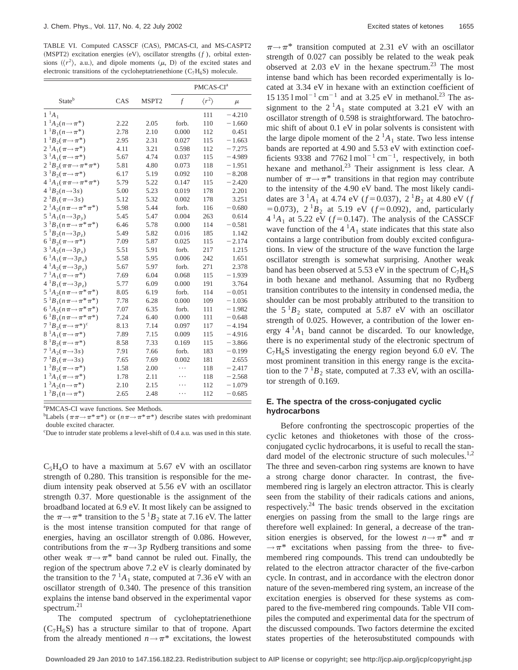TABLE VI. Computed CASSCF (CAS), PMCAS-CI, and MS-CASPT2  $(MSPT2)$  excitation energies  $(eV)$ , oscillator strengths  $(f)$ , orbital extensions  $({\langle r^2 \rangle}, a.u.),$  and dipole moments  $(\mu, D)$  of the excited states and electronic transitions of the cycloheptatrienethione  $(C_7H_6S)$  molecule.

|                                                 |      |       |               | PMCAS-CI <sup>a</sup> |          |
|-------------------------------------------------|------|-------|---------------|-----------------------|----------|
| Stateb                                          | CAS  | MSPT2 | $\mathcal{f}$ | $\langle r^2 \rangle$ | $\mu$    |
| $1^{-1}A_1$                                     |      |       |               | 111                   | $-4.210$ |
| $1^{-1}A_2(n \to \pi^*)$                        | 2.22 | 2.05  | forb.         | 110                   | $-1.660$ |
| $1^{-1}B_1(n \to \pi^*)$                        | 2.78 | 2.10  | 0.000         | 112                   | 0.451    |
| $1^{-1}B_2(\pi \rightarrow \pi^*)$              | 2.95 | 2.31  | 0.027         | 115                   | $-1.663$ |
| $2^{-1}A_1(\pi \rightarrow \pi^*)$              | 4.11 | 3.21  | 0.598         | 112                   | $-7.275$ |
| $3^{-1}A_1(\pi \rightarrow \pi^*)$              | 5.67 | 4.74  | 0.037         | 115                   | $-4.989$ |
| $2^{1}B_{2}(\pi\pi \rightarrow \pi^{*}\pi^{*})$ | 5.81 | 4.80  | 0.073         | 118                   | $-1.951$ |
| $3^{-1}B_2(\pi \rightarrow \pi^*)$              | 6.17 | 5.19  | 0.092         | 110                   | $-8.208$ |
| $4 \, {}^1A_1(\pi\pi \rightarrow \pi^*\pi^*)$   | 5.79 | 5.22  | 0.147         | 115                   | $-2.420$ |
| $4^1B_2(n \rightarrow 3s)$                      | 5.00 | 5.23  | 0.019         | 178                   | 2.201    |
| $2^{1}B_{1}(\pi \rightarrow 3s)$                | 5.12 | 5.32  | 0.002         | 178                   | 3.251    |
| $2 \, {}^1A_2(n\pi \rightarrow \pi^*\pi^*)$     | 5.98 | 5.44  | forb.         | 116                   | $-0.680$ |
| $5^1A_1(n \rightarrow 3p_v)$                    | 5.45 | 5.47  | 0.004         | 263                   | 0.614    |
| $3^{-1}B_1(n\pi \rightarrow \pi^*\pi^*)$        | 6.46 | 5.78  | 0.000         | 114                   | $-0.581$ |
| $5^{1}B_{2}(n\rightarrow 3p_{7})$               | 5.49 | 5.82  | 0.016         | 185                   | 1.142    |
| $6^{1}B_{2}(\pi \rightarrow \pi^{*})$           | 7.09 | 5.87  | 0.025         | 115                   | $-2.174$ |
| $3^1A_2(n \rightarrow 3p_r)$                    | 5.51 | 5.91  | forb.         | 217                   | 1.215    |
| $6^{1}A_{1}(\pi \rightarrow 3p_{x})$            | 5.58 | 5.95  | 0.006         | 242                   | 1.651    |
| $4^1A_2(\pi \rightarrow 3p_v)$                  | 5.67 | 5.97  | forb.         | 271                   | 2.378    |
| $7^1A_1(\pi \rightarrow \pi^*)$                 | 7.69 | 6.04  | 0.068         | 115                   | $-1.939$ |
| $4^{1}B_{1}(\pi \rightarrow 3p_{z})$            | 5.77 | 6.09  | 0.000         | 191                   | 3.764    |
| $5^{-1}A_2(n\pi \rightarrow \pi^* \pi^*)$       | 8.05 | 6.19  | forb.         | 114                   | $-0.051$ |
| $5^{1}B_{1}(n\pi \rightarrow \pi^{*}\pi^{*})$   | 7.78 | 6.28  | 0.000         | 109                   | $-1.036$ |
| $6 \, {}^1A_2(n\pi \rightarrow \pi^*\pi^*)$     | 7.07 | 6.35  | forb.         | 111                   | $-1.982$ |
| $6^{1}B_{1}(n\pi \rightarrow \pi^{*}\pi^{*})$   | 7.24 | 6.40  | 0.000         | 111                   | $-0.648$ |
| $7^{1}B_{2}(\pi \rightarrow \pi^{*})^{c}$       | 8.13 | 7.14  | 0.097         | 117                   | $-4.194$ |
| $8^{1}A_{1}(\pi \rightarrow \pi^{*})$           | 7.89 | 7.15  | 0.009         | 115                   | $-4.916$ |
| $8^1B_2(\pi \rightarrow \pi^*)$                 | 8.58 | 7.33  | 0.169         | 115                   | $-3.866$ |
| $7^1A_2(\pi \rightarrow 3s)$                    | 7.91 | 7.66  | forb.         | 183                   | $-0.199$ |
| $7\,{}^{1}B_{1}(\pi{\rightarrow}3s)$            | 7.65 | 7.69  | 0.002         | 181                   | 2.655    |
| $1^{3}B_{2}(\pi \rightarrow \pi^{*})$           | 1.58 | 2.00  | .             | 118                   | $-2.417$ |
| $1^3A_1(\pi \rightarrow \pi^*)$                 | 1.78 | 2.11  |               | 118                   | $-2.568$ |
| $1^{3}A_{2}(n \rightarrow \pi^{*})$             | 2.10 | 2.15  |               | 112                   | $-1.079$ |
| $1^{3}B_{1}(n \rightarrow \pi^{*})$             | 2.65 | 2.48  |               | 112                   | $-0.685$ |

a PMCAS-CI wave functions. See Methods.

<sup>b</sup>Labels ( $\pi \pi \rightarrow \pi^* \pi^*$ ) or ( $n \pi \rightarrow \pi^* \pi^*$ ) describe states with predominant double excited character.

c Due to intruder state problems a level-shift of 0.4 a.u. was used in this state.

 $C_5H_4O$  to have a maximum at 5.67 eV with an oscillator strength of 0.280. This transition is responsible for the medium intensity peak observed at 5.56 eV with an oscillator strength 0.37. More questionable is the assignment of the broadband located at 6.9 eV. It most likely can be assigned to the  $\pi \rightarrow \pi^*$  transition to the 5 <sup>1</sup>B<sub>2</sub> state at 7.16 eV. The latter is the most intense transition computed for that range of energies, having an oscillator strength of 0.086. However, contributions from the  $\pi \rightarrow 3p$  Rydberg transitions and some other weak  $\pi \rightarrow \pi^*$  band cannot be ruled out. Finally, the region of the spectrum above 7.2 eV is clearly dominated by the transition to the  $7<sup>1</sup>A<sub>1</sub>$  state, computed at 7.36 eV with an oscillator strength of 0.340. The presence of this transition explains the intense band observed in the experimental vapor spectrum. $^{21}$ 

The computed spectrum of cycloheptatrienethione  $(C_7H_6S)$  has a structure similar to that of tropone. Apart from the already mentioned  $n \rightarrow \pi^*$  excitations, the lowest  $\pi \rightarrow \pi^*$  transition computed at 2.31 eV with an oscillator strength of 0.027 can possibly be related to the weak peak observed at 2.03 eV in the hexane spectrum.<sup>23</sup> The most intense band which has been recorded experimentally is located at 3.34 eV in hexane with an extinction coefficient of  $15 135 1 \text{ mol}^{-1} \text{ cm}^{-1}$  and at 3.25 eV in methanol.<sup>23</sup> The assignment to the  $2^1A_1$  state computed at 3.21 eV with an oscillator strength of 0.598 is straightforward. The batochromic shift of about 0.1 eV in polar solvents is consistent with the large dipole moment of the  $2<sup>1</sup>A<sub>1</sub>$  state. Two less intense bands are reported at 4.90 and 5.53 eV with extinction coefficients 9338 and 7762  $1 \text{ mol}^{-1} \text{ cm}^{-1}$ , respectively, in both hexane and methanol. $^{23}$  Their assignment is less clear. A number of  $\pi \rightarrow \pi^*$  transitions in that region may contribute to the intensity of the 4.90 eV band. The most likely candidates are  $3^1A_1$  at 4.74 eV ( $f=0.037$ ),  $2^1B_2$  at 4.80 eV ( $f$  $(50.073)$ ,  $2^{1}B_2$  at 5.19 eV ( $f=0.092$ ), and, particularly  $4^{1}A_1$  at 5.22 eV ( $f=0.147$ ). The analysis of the CASSCF wave function of the  $4<sup>1</sup>A<sub>1</sub>$  state indicates that this state also contains a large contribution from doubly excited configurations. In view of the structure of the wave function the large oscillator strength is somewhat surprising. Another weak band has been observed at 5.53 eV in the spectrum of  $C_7H_6S$ in both hexane and methanol. Assuming that no Rydberg transition contributes to the intensity in condensed media, the shoulder can be most probably attributed to the transition to the  $5^{1}B_2$  state, computed at 5.87 eV with an oscillator strength of 0.025. However, a contribution of the lower energy  $4^1A_1$  band cannot be discarded. To our knowledge, there is no experimental study of the electronic spectrum of  $C_7H_6S$  investigating the energy region beyond 6.0 eV. The most prominent transition in this energy range is the excitation to the  $7^{1}B_2$  state, computed at 7.33 eV, with an oscillator strength of 0.169.

#### **E. The spectra of the cross-conjugated cyclic hydrocarbons**

Before confronting the spectroscopic properties of the cyclic ketones and thioketones with those of the crossconjugated cyclic hydrocarbons, it is useful to recall the standard model of the electronic structure of such molecules.<sup>1,2</sup> The three and seven-carbon ring systems are known to have a strong charge donor character. In contrast, the fivemembered ring is largely an electron attractor. This is clearly seen from the stability of their radicals cations and anions, respectively.<sup>24</sup> The basic trends observed in the excitation energies on passing from the small to the large rings are therefore well explained: In general, a decrease of the transition energies is observed, for the lowest  $n \rightarrow \pi^*$  and  $\pi$  $\rightarrow \pi^*$  excitations when passing from the three- to fivemembered ring compounds. This trend can undoubtedly be related to the electron attractor character of the five-carbon cycle. In contrast, and in accordance with the electron donor nature of the seven-membered ring system, an increase of the excitation energies is observed for these systems as compared to the five-membered ring compounds. Table VII compiles the computed and experimental data for the spectrum of the discussed compounds. Two factors determine the excited states properties of the heterosubstituted compounds with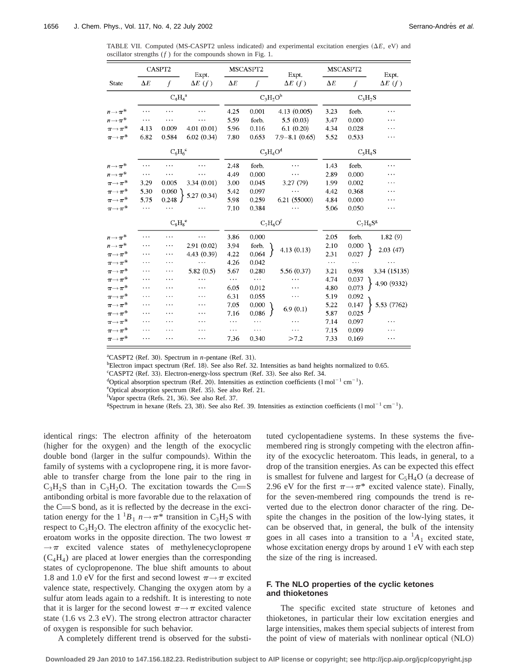TABLE VII. Computed (MS-CASPT2 unless indicated) and experimental excitation energies  $(\Delta E, eV)$  and oscillator strengths (*f* ) for the compounds shown in Fig. 1.

|                           |                 | CASPT2          | Expt.          |            | MSCASPT2 | Expt.             |            | MSCASPT2    | Expt.          |
|---------------------------|-----------------|-----------------|----------------|------------|----------|-------------------|------------|-------------|----------------|
| State                     | $\Delta E$      | f               | $\Delta E$ (f) | $\Delta E$ | f        | $\Delta E$ (f)    | $\Delta E$ | f           | $\Delta E$ (f) |
|                           | $\rm{C_4H_4}^a$ |                 |                |            |          | $C_3H_2O^b$       |            | $C_3H_2S$   |                |
| $n \rightarrow \pi^*$     | $\cdots$        | $\ddotsc$       | $\ddotsc$      | 4.25       | 0.001    | 4.13 (0.005)      | 3.23       | forb.       | .              |
| $n \rightarrow \pi^*$     | $\cdots$        | $\ddotsc$       | .              | 5.59       | forb.    | 5.5(0.03)         | 3.47       | 0.000       | $\cdots$       |
| $\pi{\rightarrow}\pi^*$   | 4.13            | 0.009           | 4.01(0.01)     | 5.96       | 0.116    | 6.1(0.20)         | 4.34       | 0.028       | $\cdots$       |
| $\pi{\rightarrow}\pi^*$   | 6.82            | 0.584           | 6.02(0.34)     | 7.80       | 0.653    | $7.9 - 8.1(0.65)$ | 5.52       | 0.533       | $\ddotsc$      |
|                           |                 | $C_6H_6^c$      |                |            |          | $C_5H_4O^d$       |            | $C_5H_4S$   |                |
| $n \rightarrow \pi^*$     | $\cdots$        | .               | .              | 2.48       | forb.    | .                 | 1.43       | forb.       | $\cdots$       |
| $n \rightarrow \pi^*$     | $\cdots$        | $\ddotsc$       | $\cdots$       | 4.49       | 0.000    | $\cdots$          | 2.89       | 0.000       | $\cdots$       |
| $\pi{\rightarrow}\pi^*$   | 3.29            | 0.005           | 3.34(0.01)     | 3.00       | 0.045    | 3.27(79)          | 1.99       | 0.002       | .              |
| $\pi{\rightarrow}\pi^*$   | 5.30            | 0.060           |                | 5.42       | 0.097    |                   | 4.42       | 0.368       | $\ddotsc$      |
| $\pi \rightarrow \pi^*$   | 5.75            | 0.248           | 5.27 (0.34)    | 5.98       | 0.259    | 6.21 (55000)      | 4.84       | 0.000       | $\ddotsc$      |
| $\pi{\rightarrow}\,\pi^*$ | $\ddotsc$       | .               |                | 7.10       | 0.384    |                   | 5.06       | 0.050       | $\cdots$       |
|                           |                 | $\rm{C_8H_8}^e$ |                |            |          | $C_7H_6Of$        |            | $C_7H_6S^g$ |                |
| $n \rightarrow \pi^*$     | $\cdots$        | .               | .              | 3.86       | 0.000    |                   | 2.05       | forb.       | 1.82(9)        |
| $n \rightarrow \pi^*$     | $\ddotsc$       | .               | 2.91(0.02)     | 3.94       | forb.    |                   | 2.10       | 0.000       |                |
| $\pi \rightarrow \pi^*$   |                 | .               | 4.43 (0.39)    | 4.22       | 0.064    | 4.13(0.13)        | 2.31       | 0.027       | 2.03(47)       |
| $\pi{\rightarrow}\,\pi^*$ | $\cdots$        | $\cdots$        | $\cdots$       | 4,26       | 0.042    |                   | $\ddotsc$  | $\ddotsc$   |                |
| $\pi \rightarrow \pi^{*}$ | $\ddotsc$       | .               | 5.82(0.5)      | 5.67       | 0.280    | 5.56 (0.37)       | 3.21       | 0.598       | 3.34 (15135)   |
| $\pi \rightarrow \pi^{*}$ | .               | $\cdots$        | .              | $\cdots$   | $\cdots$ | .                 | 4.74       | 0.037       |                |
| $\pi{\rightarrow}\pi^*$   | $\ddotsc$       | .               | .              | 6.05       | 0.012    | .                 | 4.80       | 0.073       | 4.90 (9332)    |
| $\pi{\rightarrow}\pi^*$   | $\ddotsc$       | .               | .              | 6.31       | 0.055    | $\cdots$          | 5.19       | 0.092       |                |
| $\pi{\rightarrow}\pi^*$   | $\cdots$        | .               | .              | 7.05       | 0.000    |                   | 5.22       | 0.147       | 5.53 (7762)    |
| $\pi{\rightarrow}\pi^*$   | .               | .               | .              | 7.16       | 0.086    | 6.9(0.1)          | 5.87       | 0.025       |                |
| $\pi{\rightarrow}\pi^*$   |                 | $\cdots$        | .              | $\cdots$   | $\cdots$ |                   | 7.14       | 0.097       |                |
| $\pi{\rightarrow}\,\pi^*$ |                 |                 | .              | $\ddotsc$  | $\cdots$ |                   | 7.15       | 0.009       | .              |
| $\pi{\rightarrow}\pi^*$   | $\cdots$        | $\ddotsc$       | .              | 7.36       | 0.340    | >7.2              | 7.33       | 0.169       | .              |

<sup>a</sup>CASPT2 (Ref. 30). Spectrum in *n*-pentane (Ref. 31).

 $^{b}$ Electron impact spectrum (Ref. 18). See also Ref. 32. Intensities as band heights normalized to 0.65.

<sup>c</sup>CASPT2 (Ref. 33). Electron-energy-loss spectrum (Ref. 33). See also Ref. 34.

<sup>d</sup>Optical absorption spectrum (Ref. 20). Intensities as extinction coefficients ( $1 \text{ mol}^{-1} \text{ cm}^{-1}$ ).

eOptical absorption spectrum (Ref. 35). See also Ref. 21.

<sup>f</sup>Vapor spectra (Refs. 21, 36). See also Ref. 37.

<sup>g</sup>Spectrum in hexane (Refs. 23, 38). See also Ref. 39. Intensities as extinction coefficients (1 mol<sup>-1</sup> cm<sup>-1</sup>).

identical rings: The electron affinity of the heteroatom (higher for the oxygen) and the length of the exocyclic double bond (larger in the sulfur compounds). Within the family of systems with a cyclopropene ring, it is more favorable to transfer charge from the lone pair to the ring in  $C_3H_2S$  than in  $C_3H_2O$ . The excitation towards the C=S antibonding orbital is more favorable due to the relaxation of the  $C = S$  bond, as it is reflected by the decrease in the excitation energy for the  $1^1B_1 n \rightarrow \pi^*$  transition in C<sub>3</sub>H<sub>2</sub>S with respect to  $C_3H_2O$ . The electron affinity of the exocyclic heteroatom works in the opposite direction. The two lowest  $\pi$  $\rightarrow \pi$  excited valence states of methylenecyclopropene  $(C_4H_4)$  are placed at lower energies than the corresponding states of cyclopropenone. The blue shift amounts to about 1.8 and 1.0 eV for the first and second lowest  $\pi \rightarrow \pi$  excited valence state, respectively. Changing the oxygen atom by a sulfur atom leads again to a redshift. It is interesting to note that it is larger for the second lowest  $\pi \rightarrow \pi$  excited valence state  $(1.6 \text{ vs } 2.3 \text{ eV})$ . The strong electron attractor character of oxygen is responsible for such behavior.

A completely different trend is observed for the substi-

tuted cyclopentadiene systems. In these systems the fivemembered ring is strongly competing with the electron affinity of the exocyclic heteroatom. This leads, in general, to a drop of the transition energies. As can be expected this effect is smallest for fulvene and largest for  $C_5H_4O$  (a decrease of 2.96 eV for the first  $\pi \rightarrow \pi^*$  excited valence state). Finally, for the seven-membered ring compounds the trend is reverted due to the electron donor character of the ring. Despite the changes in the position of the low-lying states, it can be observed that, in general, the bulk of the intensity goes in all cases into a transition to a  ${}^{1}A_{1}$  excited state, whose excitation energy drops by around 1 eV with each step the size of the ring is increased.

# **F. The NLO properties of the cyclic ketones and thioketones**

The specific excited state structure of ketones and thioketones, in particular their low excitation energies and large intensities, makes them special subjects of interest from the point of view of materials with nonlinear optical  $(NLO)$ 

**Downloaded 29 Jan 2010 to 147.156.182.23. Redistribution subject to AIP license or copyright; see http://jcp.aip.org/jcp/copyright.jsp**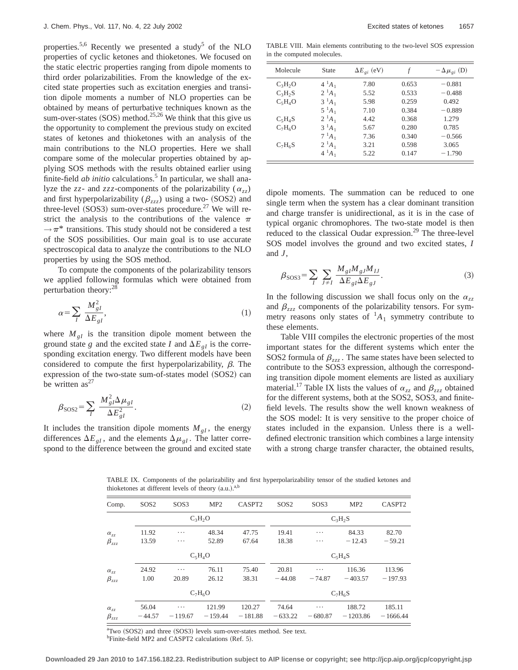properties.<sup>5,6</sup> Recently we presented a study<sup>5</sup> of the NLO properties of cyclic ketones and thioketones. We focused on the static electric properties ranging from dipole moments to third order polarizabilities. From the knowledge of the excited state properties such as excitation energies and transition dipole moments a number of NLO properties can be obtained by means of perturbative techniques known as the sum-over-states  $(SOS)$  method.<sup>25,26</sup> We think that this give us the opportunity to complement the previous study on excited states of ketones and thioketones with an analysis of the main contributions to the NLO properties. Here we shall compare some of the molecular properties obtained by applying SOS methods with the results obtained earlier using finite-field *ab initio* calculations.<sup>5</sup> In particular, we shall analyze the *zz*- and *zzz*-components of the polarizability ( $\alpha_{zz}$ ) and first hyperpolarizability ( $\beta_{zzz}$ ) using a two- (SOS2) and three-level (SOS3) sum-over-states procedure.<sup>27</sup> We will restrict the analysis to the contributions of the valence  $\pi$  $\rightarrow \pi^*$  transitions. This study should not be considered a test of the SOS possibilities. Our main goal is to use accurate spectroscopical data to analyze the contributions to the NLO properties by using the SOS method.

To compute the components of the polarizability tensors we applied following formulas which were obtained from perturbation theory:28

$$
\alpha = \sum_{I} \frac{M_{gl}^2}{\Delta E_{gl}},\tag{1}
$$

where  $M_{gl}$  is the transition dipole moment between the ground state *g* and the excited state *I* and  $\Delta E_{gl}$  is the corresponding excitation energy. Two different models have been considered to compute the first hyperpolarizability,  $\beta$ . The expression of the two-state sum-of-states model (SOS2) can be written  $as^{27}$ 

$$
\beta_{\text{SOS2}} = \sum_{I} \frac{M_{gI}^2 \Delta \mu_{gI}}{\Delta E_{gI}^2}.
$$
\n(2)

It includes the transition dipole moments  $M_{gl}$ , the energy differences  $\Delta E_{gl}$ , and the elements  $\Delta \mu_{gl}$ . The latter correspond to the difference between the ground and excited state

TABLE VIII. Main elements contributing to the two-level SOS expression in the computed molecules.

| Molecule  | State    | $\Delta E_{gi}$ (eV) |       | $-\Delta\mu_{gi}$ (D) |
|-----------|----------|----------------------|-------|-----------------------|
| $C_3H_2O$ | $4^1A_1$ | 7.80                 | 0.653 | $-0.881$              |
| $C_3H_2S$ | $2^1A_1$ | 5.52                 | 0.533 | $-0.488$              |
| $C_5H_4O$ | $3^1A_1$ | 5.98                 | 0.259 | 0.492                 |
|           | $5^1A_1$ | 7.10                 | 0.384 | $-0.889$              |
| $C_5H_4S$ | $2^1A_1$ | 4.42                 | 0.368 | 1.279                 |
| $C_7H_6O$ | $3^1A_1$ | 5.67                 | 0.280 | 0.785                 |
|           | $7^1A_1$ | 7.36                 | 0.340 | $-0.566$              |
| $C_7H_6S$ | $2^1A_1$ | 3.21                 | 0.598 | 3.065                 |
|           | $4^1A_1$ | 5.22                 | 0.147 | $-1.790$              |

dipole moments. The summation can be reduced to one single term when the system has a clear dominant transition and charge transfer is unidirectional, as it is in the case of typical organic chromophores. The two-state model is then reduced to the classical Oudar expression.<sup>29</sup> The three-level SOS model involves the ground and two excited states, *I* and *J*,

$$
\beta_{\text{SOS3}} = \sum_{I} \sum_{J \neq I} \frac{M_{gl} M_{gJ} M_{IJ}}{\Delta E_{gl} \Delta E_{gJ}}.
$$
\n(3)

In the following discussion we shall focus only on the  $\alpha_{zz}$ and  $\beta_{zzz}$  components of the polarizability tensors. For symmetry reasons only states of  ${}^{1}A_{1}$  symmetry contribute to these elements.

Table VIII compiles the electronic properties of the most important states for the different systems which enter the SOS2 formula of  $\beta_{zzz}$ . The same states have been selected to contribute to the SOS3 expression, although the corresponding transition dipole moment elements are listed as auxiliary material.<sup>17</sup> Table IX lists the values of  $\alpha_{zz}$  and  $\beta_{zzz}$  obtained for the different systems, both at the SOS2, SOS3, and finitefield levels. The results show the well known weakness of the SOS model: It is very sensitive to the proper choice of states included in the expansion. Unless there is a welldefined electronic transition which combines a large intensity with a strong charge transfer character, the obtained results,

TABLE IX. Components of the polarizability and first hyperpolarizability tensor of the studied ketones and thioketones at different levels of theory (a.u.).<sup>a,b</sup>

| Comp.               | SOS <sub>2</sub> | SOS3      | MP2       | CASPT2    | SOS <sub>2</sub> | SOS3      | MP <sub>2</sub> | CASPT2     |  |
|---------------------|------------------|-----------|-----------|-----------|------------------|-----------|-----------------|------------|--|
|                     |                  |           | $C_3H_2O$ |           | $C_3H_2S$        |           |                 |            |  |
| $\alpha_{zz}$       | 11.92            | $\cdots$  | 48.34     | 47.75     | 19.41            | $\cdots$  | 84.33           | 82.70      |  |
| $\pmb{\beta}_{zzz}$ | 13.59            | $\cdots$  | 52.89     | 67.64     | 18.38            | .         | $-12.43$        | $-59.21$   |  |
|                     |                  |           | $C_5H_4O$ |           | $C_5H_4S$        |           |                 |            |  |
| $\alpha_{zz}$       | 24.92            | $\cdots$  | 76.11     | 75.40     | 20.81            | .         | 116.36          | 113.96     |  |
| $\beta_{zzz}$       | 1.00             | 20.89     | 26.12     | 38.31     | $-44.08$         | $-74.87$  | $-403.57$       | $-197.93$  |  |
|                     |                  |           | $C_7H_6O$ |           |                  |           | $C_7H_6S$       |            |  |
| $\alpha_{zz}$       | 56.04            | $\cdots$  | 121.99    | 120.27    | 74.64            | $\cdots$  | 188.72          | 185.11     |  |
| $\beta_{zzz}$       | $-44.57$         | $-119.67$ | $-159.44$ | $-181.88$ | $-633.22$        | $-680.87$ | $-1203.86$      | $-1666.44$ |  |

<sup>a</sup>Two (SOS2) and three (SOS3) levels sum-over-states method. See text. <sup>b</sup>Finite-field MP2 and CASPT2 calculations (Ref. 5).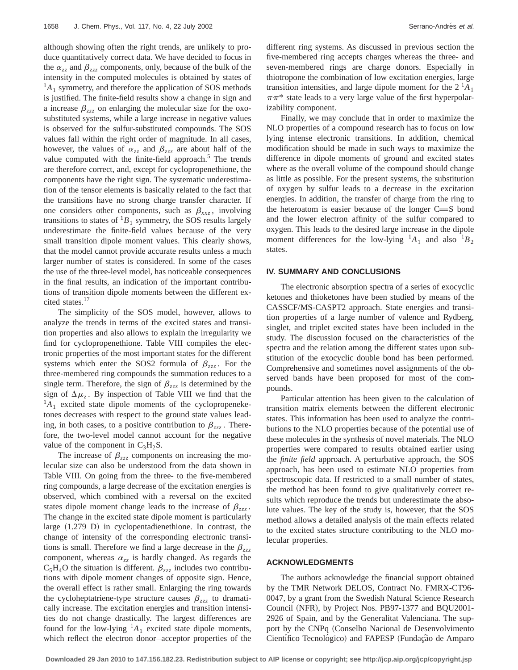although showing often the right trends, are unlikely to produce quantitatively correct data. We have decided to focus in the  $\alpha_{zz}$  and  $\beta_{zzz}$  components, only, because of the bulk of the intensity in the computed molecules is obtained by states of  ${}^{1}A_{1}$  symmetry, and therefore the application of SOS methods is justified. The finite-field results show a change in sign and a increase  $\beta_{zzz}$  on enlarging the molecular size for the oxosubstituted systems, while a large increase in negative values is observed for the sulfur-substituted compounds. The SOS values fall within the right order of magnitude. In all cases, however, the values of  $\alpha_{zz}$  and  $\beta_{zzz}$  are about half of the value computed with the finite-field approach.<sup>5</sup> The trends are therefore correct, and, except for cyclopropenethione, the components have the right sign. The systematic underestimation of the tensor elements is basically related to the fact that the transitions have no strong charge transfer character. If one considers other components, such as  $\beta_{xxz}$ , involving transitions to states of  ${}^{1}B_1$  symmetry, the SOS results largely underestimate the finite-field values because of the very small transition dipole moment values. This clearly shows, that the model cannot provide accurate results unless a much larger number of states is considered. In some of the cases the use of the three-level model, has noticeable consequences in the final results, an indication of the important contributions of transition dipole moments between the different excited states.17

The simplicity of the SOS model, however, allows to analyze the trends in terms of the excited states and transition properties and also allows to explain the irregularity we find for cyclopropenethione. Table VIII compiles the electronic properties of the most important states for the different systems which enter the SOS2 formula of  $\beta_{zz}$ . For the three-membered ring compounds the summation reduces to a single term. Therefore, the sign of  $\beta_{zzz}$  is determined by the sign of  $\Delta \mu$ <sub>z</sub>. By inspection of Table VIII we find that the  ${}^{1}A_{1}$  excited state dipole moments of the cyclopropeneketones decreases with respect to the ground state values leading, in both cases, to a positive contribution to  $\beta_{zzz}$ . Therefore, the two-level model cannot account for the negative value of the component in  $C_3H_2S$ .

The increase of  $\beta_{zzz}$  components on increasing the molecular size can also be understood from the data shown in Table VIII. On going from the three- to the five-membered ring compounds, a large decrease of the excitation energies is observed, which combined with a reversal on the excited states dipole moment change leads to the increase of  $\beta_{zz}$ . The change in the excited state dipole moment is particularly large  $(1.279 \text{ D})$  in cyclopentadienethione. In contrast, the change of intensity of the corresponding electronic transitions is small. Therefore we find a large decrease in the  $\beta_{zzz}$ component, whereas  $\alpha_{zz}$  is hardly changed. As regards the  $C_5H_4O$  the situation is different.  $\beta_{zzz}$  includes two contributions with dipole moment changes of opposite sign. Hence, the overall effect is rather small. Enlarging the ring towards the cycloheptatriene-type structure causes  $\beta_{zz}$  to dramatically increase. The excitation energies and transition intensities do not change drastically. The largest differences are found for the low-lying  ${}^{1}A_1$  excited state dipole moments, which reflect the electron donor–acceptor properties of the different ring systems. As discussed in previous section the five-membered ring accepts charges whereas the three- and seven-membered rings are charge donors. Especially in thiotropone the combination of low excitation energies, large transition intensities, and large dipole moment for the  $2<sup>1</sup>A<sub>1</sub>$  $\pi\pi^*$  state leads to a very large value of the first hyperpolarizability component.

Finally, we may conclude that in order to maximize the NLO properties of a compound research has to focus on low lying intense electronic transitions. In addition, chemical modification should be made in such ways to maximize the difference in dipole moments of ground and excited states where as the overall volume of the compound should change as little as possible. For the present systems, the substitution of oxygen by sulfur leads to a decrease in the excitation energies. In addition, the transfer of charge from the ring to the heteroatom is easier because of the longer  $C = S$  bond and the lower electron affinity of the sulfur compared to oxygen. This leads to the desired large increase in the dipole moment differences for the low-lying  $^{1}A_{1}$  and also  $^{1}B_{2}$ states.

#### **IV. SUMMARY AND CONCLUSIONS**

The electronic absorption spectra of a series of exocyclic ketones and thioketones have been studied by means of the CASSCF/MS-CASPT2 approach. State energies and transition properties of a large number of valence and Rydberg, singlet, and triplet excited states have been included in the study. The discussion focused on the characteristics of the spectra and the relation among the different states upon substitution of the exocyclic double bond has been performed. Comprehensive and sometimes novel assignments of the observed bands have been proposed for most of the compounds.

Particular attention has been given to the calculation of transition matrix elements between the different electronic states. This information has been used to analyze the contributions to the NLO properties because of the potential use of these molecules in the synthesis of novel materials. The NLO properties were compared to results obtained earlier using the *finite field* approach. A perturbative approach, the SOS approach, has been used to estimate NLO properties from spectroscopic data. If restricted to a small number of states, the method has been found to give qualitatively correct results which reproduce the trends but underestimate the absolute values. The key of the study is, however, that the SOS method allows a detailed analysis of the main effects related to the excited states structure contributing to the NLO molecular properties.

### **ACKNOWLEDGMENTS**

The authors acknowledge the financial support obtained by the TMR Network DELOS, Contract No. FMRX-CT96- 0047, by a grant from the Swedish Natural Science Research Council (NFR), by Project Nos. PB97-1377 and BQU2001-2926 of Spain, and by the Generalitat Valenciana. The support by the CNPq (Conselho Nacional de Desenvolvimento Científico Tecnológico) and FAPESP (Fundação de Amparo